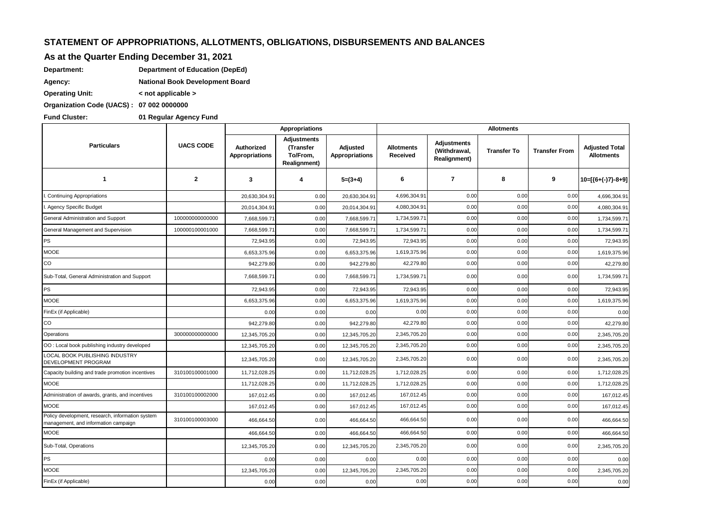## **STATEMENT OF APPROPRIATIONS, ALLOTMENTS, OBLIGATIONS, DISBURSEMENTS AND BALANCES**

## **As at the Quarter Ending December 31, 2021**

| Department: | Department of Education (DepEd) |
|-------------|---------------------------------|
|             |                                 |

**Agency: National Book Development Board**

**Operating Unit: < not applicable >**

**Organization Code (UACS) : 07 002 0000000**

**Fund Cluster: 01 Regular Agency Fund**

|                                                                                          |                  | Appropriations                      |                                                                    | <b>Allotments</b>          |                               |                                                           |                    |                      |                                            |
|------------------------------------------------------------------------------------------|------------------|-------------------------------------|--------------------------------------------------------------------|----------------------------|-------------------------------|-----------------------------------------------------------|--------------------|----------------------|--------------------------------------------|
| <b>Particulars</b>                                                                       | <b>UACS CODE</b> | Authorized<br><b>Appropriations</b> | <b>Adjustments</b><br>(Transfer<br>To/From,<br><b>Realignment)</b> | Adjusted<br>Appropriations | <b>Allotments</b><br>Received | <b>Adjustments</b><br>(Withdrawal,<br><b>Realignment)</b> | <b>Transfer To</b> | <b>Transfer From</b> | <b>Adjusted Total</b><br><b>Allotments</b> |
| $\mathbf{1}$                                                                             | $\overline{2}$   | 3                                   | 4                                                                  | $5=(3+4)$                  | 6                             | $\overline{7}$                                            | 8                  | 9                    | 10=[{6+(-)7}-8+9]                          |
| Continuing Appropriations                                                                |                  | 20,630,304.91                       | 0.00                                                               | 20,630,304.91              | 4,696,304.91                  | 0.00                                                      | 0.00               | 0.00                 | 4,696,304.91                               |
| . Agency Specific Budget                                                                 |                  | 20,014,304.91                       | 0.00                                                               | 20,014,304.91              | 4,080,304.91                  | 0.00                                                      | 0.00               | 0.00                 | 4,080,304.91                               |
| General Administration and Support                                                       | 10000000000000   | 7,668,599.71                        | 0.00                                                               | 7,668,599.7                | 1,734,599.71                  | 0.00                                                      | 0.00               | 0.00                 | 1,734,599.71                               |
| General Management and Supervision                                                       | 100000100001000  | 7,668,599.71                        | 0.00                                                               | 7,668,599.7                | 1,734,599.71                  | 0.00                                                      | 0.00               | 0.00                 | 1,734,599.71                               |
| PS                                                                                       |                  | 72.943.95                           | 0.00                                                               | 72,943.95                  | 72,943.95                     | 0.00                                                      | 0.00               | 0.00                 | 72,943.95                                  |
| <b>MOOE</b>                                                                              |                  | 6,653,375.96                        | 0.00                                                               | 6,653,375.96               | 1,619,375.96                  | 0.00                                                      | 0.00               | 0.00                 | 1,619,375.96                               |
| CO                                                                                       |                  | 942,279.80                          | 0.00                                                               | 942,279.80                 | 42,279.80                     | 0.00                                                      | 0.00               | 0.00                 | 42,279.80                                  |
| Sub-Total, General Administration and Support                                            |                  | 7,668,599.71                        | 0.00                                                               | 7,668,599.71               | 1,734,599.71                  | 0.00                                                      | 0.00               | 0.00                 | 1,734,599.71                               |
| <b>PS</b>                                                                                |                  | 72,943.95                           | 0.00                                                               | 72,943.95                  | 72,943.95                     | 0.00                                                      | 0.00               | 0.00                 | 72,943.95                                  |
| <b>MOOE</b>                                                                              |                  | 6,653,375.96                        | 0.00                                                               | 6,653,375.96               | 1,619,375.96                  | 0.00                                                      | 0.00               | 0.00                 | 1,619,375.96                               |
| FinEx (if Applicable)                                                                    |                  | 0.00                                | 0.00                                                               | 0.00                       | 0.00                          | 0.00                                                      | 0.00               | 0.00                 | 0.00                                       |
| CO                                                                                       |                  | 942,279.80                          | 0.00                                                               | 942,279.80                 | 42,279.80                     | 0.00                                                      | 0.00               | 0.00                 | 42,279.80                                  |
| Operations                                                                               | 300000000000000  | 12,345,705.20                       | 0.00                                                               | 12,345,705.20              | 2,345,705.20                  | 0.00                                                      | 0.00               | 0.00                 | 2,345,705.20                               |
| OO: Local book publishing industry developed                                             |                  | 12,345,705.20                       | 0.00                                                               | 12,345,705.20              | 2,345,705.20                  | 0.00                                                      | 0.00               | 0.00                 | 2,345,705.20                               |
| <b>LOCAL BOOK PUBLISHING INDUSTRY</b><br>DEVELOPMENT PROGRAM                             |                  | 12,345,705.20                       | 0.00                                                               | 12,345,705.20              | 2,345,705.20                  | 0.00                                                      | 0.00               | 0.00                 | 2,345,705.20                               |
| Capacity building and trade promotion incentives                                         | 310100100001000  | 11,712,028.25                       | 0.00                                                               | 11,712,028.25              | 1,712,028.25                  | 0.00                                                      | 0.00               | 0.00                 | 1,712,028.25                               |
| <b>MOOE</b>                                                                              |                  | 11,712,028.25                       | 0.00                                                               | 11,712,028.25              | 1,712,028.25                  | 0.00                                                      | 0.00               | 0.00                 | 1,712,028.25                               |
| Administration of awards, grants, and incentives                                         | 310100100002000  | 167,012.45                          | 0.00                                                               | 167,012.45                 | 167,012.45                    | 0.00                                                      | 0.00               | 0.00                 | 167,012.45                                 |
| <b>MOOE</b>                                                                              |                  | 167,012.45                          | 0.00                                                               | 167,012.45                 | 167,012.45                    | 0.00                                                      | 0.00               | 0.00                 | 167,012.45                                 |
| Policy development, research, information system<br>management, and information campaign | 310100100003000  | 466,664.50                          | 0.00                                                               | 466,664.50                 | 466,664.50                    | 0.00                                                      | 0.00               | 0.00                 | 466,664.50                                 |
| <b>MOOE</b>                                                                              |                  | 466,664.50                          | 0.00                                                               | 466,664.50                 | 466,664.50                    | 0.00                                                      | 0.00               | 0.00                 | 466,664.50                                 |
| Sub-Total, Operations                                                                    |                  | 12,345,705.20                       | 0.00                                                               | 12,345,705.20              | 2,345,705.20                  | 0.00                                                      | 0.00               | 0.00                 | 2,345,705.20                               |
| PS                                                                                       |                  | 0.00                                | 0.00                                                               | 0.00                       | 0.00                          | 0.00                                                      | 0.00               | 0.00                 | 0.00                                       |
| <b>MOOE</b>                                                                              |                  | 12,345,705.20                       | 0.00                                                               | 12,345,705.20              | 2,345,705.20                  | 0.00                                                      | 0.00               | 0.00                 | 2,345,705.20                               |
| FinEx (if Applicable)                                                                    |                  | 0.00                                | 0.00                                                               | 0.00                       | 0.00                          | 0.00                                                      | 0.00               | 0.00                 | 0.00                                       |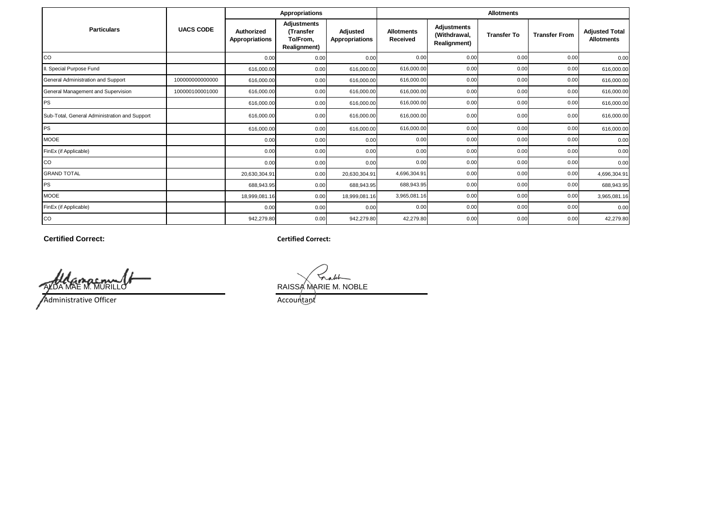|                                               |                  |                              | Appropriations                                       |                                   | <b>Allotments</b>                    |                                                           |                    |                      |                                            |  |
|-----------------------------------------------|------------------|------------------------------|------------------------------------------------------|-----------------------------------|--------------------------------------|-----------------------------------------------------------|--------------------|----------------------|--------------------------------------------|--|
| <b>Particulars</b>                            | <b>UACS CODE</b> | Authorized<br>Appropriations | Adjustments<br>(Transfer<br>To/From.<br>Realignment) | Adjusted<br><b>Appropriations</b> | <b>Allotments</b><br><b>Received</b> | <b>Adjustments</b><br>(Withdrawal,<br><b>Realignment)</b> | <b>Transfer To</b> | <b>Transfer From</b> | <b>Adjusted Total</b><br><b>Allotments</b> |  |
| <b>CO</b>                                     |                  | 0.00                         | 0.00                                                 | 0.00                              | 0.00                                 | 0.00                                                      | 0.00               | 0.00                 | 0.00                                       |  |
| II. Special Purpose Fund                      |                  | 616,000.00                   | 0.00                                                 | 616,000.00                        | 616,000.00                           | 0.00                                                      | 0.00               | 0.00                 | 616,000.00                                 |  |
| General Administration and Support            | 100000000000000  | 616,000.00                   | 0.00                                                 | 616,000.00                        | 616,000.00                           | 0.00                                                      | 0.00               | 0.00                 | 616,000.00                                 |  |
| General Management and Supervision            | 100000100001000  | 616,000.00                   | 0.00                                                 | 616,000.00                        | 616,000.00                           | 0.00                                                      | 0.00               | 0.00                 | 616,000.00                                 |  |
| <b>PS</b>                                     |                  | 616,000.00                   | 0.00                                                 | 616,000.00                        | 616,000.00                           | 0.00                                                      | 0.00               | 0.00                 | 616,000.00                                 |  |
| Sub-Total, General Administration and Support |                  | 616,000.00                   | 0.00                                                 | 616,000.00                        | 616,000.00                           | 0.00                                                      | 0.00               | 0.00                 | 616,000.00                                 |  |
| <b>PS</b>                                     |                  | 616,000.00                   | 0.00                                                 | 616,000.00                        | 616,000.00                           | 0.00                                                      | 0.00               | 0.00                 | 616,000.00                                 |  |
| <b>MOOE</b>                                   |                  | 0.00                         | 0.00                                                 | 0.00                              | 0.00                                 | 0.00                                                      | 0.00               | 0.00                 | 0.00                                       |  |
| FinEx (if Applicable)                         |                  | 0.00                         | 0.00                                                 | 0.00                              | 0.00                                 | 0.00                                                      | 0.00               | 0.00                 | 0.00                                       |  |
| CO                                            |                  | 0.00                         | 0.00                                                 | 0.00                              | 0.00                                 | 0.00                                                      | 0.00               | 0.00                 | 0.00                                       |  |
| <b>GRAND TOTAL</b>                            |                  | 20,630,304.91                | 0.00                                                 | 20,630,304.91                     | 4,696,304.91                         | 0.00                                                      | 0.00               | 0.00                 | 4,696,304.91                               |  |
| <b>IPS</b>                                    |                  | 688,943.95                   | 0.00                                                 | 688,943.95                        | 688,943.95                           | 0.00                                                      | 0.00               | 0.00                 | 688,943.95                                 |  |
| <b>MOOE</b>                                   |                  | 18,999,081.16                | 0.00                                                 | 18,999,081.16                     | 3,965,081.16                         | 0.00                                                      | 0.00               | 0.00                 | 3,965,081.16                               |  |
| FinEx (if Applicable)                         |                  | 0.00                         | 0.00                                                 | 0.00                              | 0.00                                 | 0.00                                                      | 0.00               | 0.00                 | 0.00                                       |  |
| CO                                            |                  | 942,279.80                   | 0.00                                                 | 942,279.80                        | 42,279.80                            | 0.00                                                      | 0.00               | 0.00                 | 42,279.80                                  |  |

**Certified Correct:**

**Certified Correct:**

ALDA MAE M. MURILLO **RAISSA MARIE M. NOBLE** 

Administrative Officer **Accountant** Accountant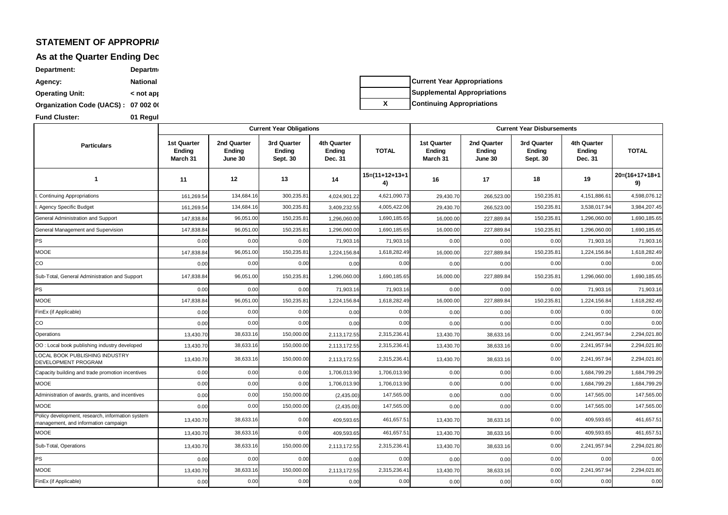# **STATEMENT OF APPROPRIA**

**As at the Quarter Ending Dec** 

Agency: **National Department: Department Operating Unit:**  $\leftarrow$   **>** < not applicable >> **Organization Code (UACS) : 07 002 00 Fund Cluster: 01 Regul** 

|  | <b>Current Year Appropriations</b> |
|--|------------------------------------|
|  | Supplemental Appropriations        |
|  | <b>Continuing Appropriations</b>   |

|                                                                                          |                                          |                                         | <b>Current Year Obligations</b>   |                                         |                         | <b>Current Year Disbursements</b>        |                                  |                                   |                                                |                         |
|------------------------------------------------------------------------------------------|------------------------------------------|-----------------------------------------|-----------------------------------|-----------------------------------------|-------------------------|------------------------------------------|----------------------------------|-----------------------------------|------------------------------------------------|-------------------------|
| <b>Particulars</b>                                                                       | <b>1st Quarter</b><br>Ending<br>March 31 | 2nd Quarter<br><b>Ending</b><br>June 30 | 3rd Quarter<br>Ending<br>Sept. 30 | <b>4th Quarter</b><br>Ending<br>Dec. 31 | <b>TOTAL</b>            | <b>1st Quarter</b><br>Ending<br>March 31 | 2nd Quarter<br>Ending<br>June 30 | 3rd Quarter<br>Ending<br>Sept. 30 | <b>4th Quarter</b><br><b>Ending</b><br>Dec. 31 | <b>TOTAL</b>            |
| $\mathbf{1}$                                                                             | 11                                       | 12                                      | 13                                | 14                                      | $15=(11+12+13+1)$<br>4) | 16                                       | 17                               | 18                                | 19                                             | $20=(16+17+18+1)$<br>9) |
| Continuing Appropriations                                                                | 161,269.54                               | 134,684.16                              | 300,235.81                        | 4,024,901.22                            | 4,621,090.73            | 29,430.70                                | 266,523.00                       | 150,235.8                         | 4,151,886.61                                   | 4,598,076.12            |
| I. Agency Specific Budget                                                                | 161,269.54                               | 134,684.16                              | 300,235.8                         | 3,409,232.55                            | 4,005,422.06            | 29,430.70                                | 266,523.00                       | 150,235.8                         | 3,538,017.94                                   | 3,984,207.45            |
| General Administration and Support                                                       | 147,838.84                               | 96,051.00                               | 150,235.8                         | 1,296,060.00                            | 1,690,185.65            | 16,000.0                                 | 227,889.84                       | 150,235.8                         | 1,296,060.00                                   | 1,690,185.65            |
| General Management and Supervision                                                       | 147,838.84                               | 96,051.00                               | 150,235.8                         | 1,296,060.00                            | 1,690,185.65            | 16,000.0                                 | 227,889.84                       | 150,235.8                         | 1,296,060.00                                   | 1,690,185.65            |
| PS                                                                                       | 0.00                                     | 0.00                                    | 0.00                              | 71,903.16                               | 71,903.16               | 0.00                                     | 0.00                             | 0.00                              | 71,903.16                                      | 71,903.16               |
| <b>MOOE</b>                                                                              | 147,838.84                               | 96,051.00                               | 150,235.8                         | 1,224,156.84                            | 1,618,282.49            | 16,000.00                                | 227,889.84                       | 150,235.8                         | 1,224,156.84                                   | 1,618,282.49            |
| CO                                                                                       | 0.00                                     | 0.00                                    | 0.00                              | 0.00                                    | 0.00                    | 0.00                                     | 0.00                             | 0.00                              | 0.00                                           | 0.00                    |
| Sub-Total, General Administration and Support                                            | 147,838.84                               | 96,051.00                               | 150,235.8                         | 1,296,060.00                            | 1,690,185.65            | 16,000.00                                | 227,889.84                       | 150,235.8                         | 1,296,060.00                                   | 1,690,185.65            |
| PS                                                                                       | 0.00                                     | 0.00                                    | 0.00                              | 71,903.16                               | 71,903.16               | 0.00                                     | 0.00                             | 0.00                              | 71,903.16                                      | 71,903.16               |
| <b>MOOE</b>                                                                              | 147,838.84                               | 96,051.00                               | 150,235.8                         | 1,224,156.84                            | 1,618,282.49            | 16,000.00                                | 227,889.84                       | 150,235.8                         | 1,224,156.84                                   | 1,618,282.49            |
| FinEx (if Applicable)                                                                    | 0.00                                     | 0.00                                    | 0.00                              | 0.00                                    | 0.00                    | 0.00                                     | 0.00                             | 0.00                              | 0.00                                           | 0.00                    |
| CO                                                                                       | 0.00                                     | 0.00                                    | 0.00                              | 0.00                                    | 0.00                    | 0.00                                     | 0.00                             | 0.00                              | 0.00                                           | 0.00                    |
| Operations                                                                               | 13,430.70                                | 38,633.16                               | 150,000.00                        | 2,113,172.55                            | 2,315,236.4             | 13,430.70                                | 38,633.16                        | 0.00                              | 2,241,957.94                                   | 2,294,021.80            |
| OO: Local book publishing industry developed                                             | 13,430.70                                | 38,633.16                               | 150,000.00                        | 2,113,172.55                            | 2,315,236.4             | 13,430.70                                | 38,633.16                        | 0.00                              | 2,241,957.94                                   | 2,294,021.80            |
| LOCAL BOOK PUBLISHING INDUSTRY<br>DEVELOPMENT PROGRAM                                    | 13,430.70                                | 38,633.16                               | 150,000.00                        | 2,113,172.55                            | 2,315,236.4             | 13,430.70                                | 38,633.16                        | 0.00                              | 2,241,957.94                                   | 2,294,021.80            |
| Capacity building and trade promotion incentives                                         | 0.00                                     | 0.00                                    | 0.00                              | 1,706,013.90                            | 1,706,013.90            | 0.00                                     | 0.00                             | 0.00                              | 1,684,799.29                                   | 1,684,799.29            |
| <b>MOOE</b>                                                                              | 0.00                                     | 0.00                                    | 0.00                              | 1,706,013.90                            | 1,706,013.90            | 0.00                                     | 0.00                             | 0.00                              | 1,684,799.29                                   | 1,684,799.29            |
| Administration of awards, grants, and incentives                                         | 0.00                                     | 0.00                                    | 150,000.00                        | (2,435.00)                              | 147,565.00              | 0.00                                     | 0.00                             | 0.00                              | 147,565.00                                     | 147,565.00              |
| <b>MOOE</b>                                                                              | 0.00                                     | 0.00                                    | 150,000.00                        | (2,435.00)                              | 147,565.00              | 0.00                                     | 0.00                             | 0.00                              | 147,565.00                                     | 147,565.00              |
| Policy development, research, information system<br>management, and information campaign | 13,430.70                                | 38,633.16                               | 0.00                              | 409,593.65                              | 461,657.5               | 13,430.70                                | 38,633.16                        | 0.00                              | 409,593.65                                     | 461,657.51              |
| <b>MOOE</b>                                                                              | 13,430.70                                | 38,633.16                               | 0.00                              | 409,593.65                              | 461,657.5               | 13,430.70                                | 38,633.16                        | 0.00                              | 409,593.65                                     | 461,657.5               |
| Sub-Total, Operations                                                                    | 13,430.70                                | 38,633.16                               | 150,000.00                        | 2,113,172.55                            | 2,315,236.4             | 13,430.70                                | 38,633.16                        | 0.00                              | 2,241,957.94                                   | 2,294,021.80            |
| PS                                                                                       | 0.00                                     | 0.00                                    | 0.00                              | 0.00                                    | 0.00                    | 0.00                                     | 0.00                             | 0.00                              | 0.00                                           | 0.00                    |
| <b>MOOE</b>                                                                              | 13,430.70                                | 38,633.16                               | 150,000.00                        | 2,113,172.55                            | 2,315,236.4             | 13,430.70                                | 38,633.16                        | 0.00                              | 2,241,957.94                                   | 2,294,021.80            |
| FinEx (if Applicable)                                                                    | 0.00                                     | 0.00                                    | 0.00                              | 0.00                                    | 0.00                    | 0.00                                     | 0.00                             | 0.00                              | 0.00                                           | 0.00                    |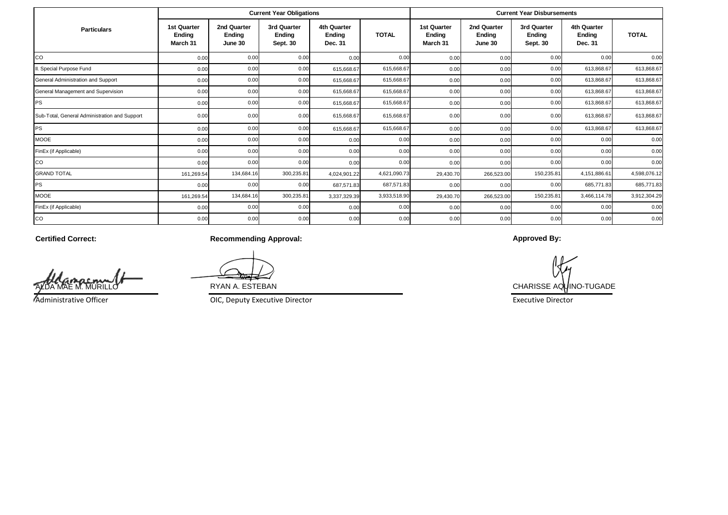|                                               |                                   |                                  | <b>Current Year Obligations</b>   |                                  |              | <b>Current Year Disbursements</b> |                                  |                                   |                                  |              |
|-----------------------------------------------|-----------------------------------|----------------------------------|-----------------------------------|----------------------------------|--------------|-----------------------------------|----------------------------------|-----------------------------------|----------------------------------|--------------|
| <b>Particulars</b>                            | 1st Quarter<br>Ending<br>March 31 | 2nd Quarter<br>Ending<br>June 30 | 3rd Quarter<br>Ending<br>Sept. 30 | 4th Quarter<br>Ending<br>Dec. 31 | <b>TOTAL</b> | 1st Quarter<br>Ending<br>March 31 | 2nd Quarter<br>Ending<br>June 30 | 3rd Quarter<br>Ending<br>Sept. 30 | 4th Quarter<br>Ending<br>Dec. 31 | <b>TOTAL</b> |
| CO                                            | 0.00                              | 0.00                             | 0.00                              | 0.00                             | 0.00         | 0.00                              | 0.00                             | 0.00                              | 0.00                             | 0.00         |
| I. Special Purpose Fund                       | 0.00                              | 0.00                             | 0.00                              | 615,668.67                       | 615,668.67   | 0.00                              | 0.00                             | 0.00                              | 613,868.67                       | 613,868.67   |
| General Administration and Support            | 0.00                              | 0.00                             | 0.00                              | 615,668.67                       | 615,668.67   | 0.00                              | 0.00                             | 0.00                              | 613,868.67                       | 613,868.67   |
| General Management and Supervision            | 0.00                              | 0.00                             | 0.00                              | 615,668.67                       | 615,668.67   | 0.00                              | 0.00                             | 0.00                              | 613,868.67                       | 613,868.67   |
| PS                                            | 0.00                              | 0.00                             | 0.00                              | 615,668.67                       | 615,668.67   | 0.00                              | 0.00                             | 0.00                              | 613,868.67                       | 613,868.67   |
| Sub-Total, General Administration and Support | 0.00                              | 0.00                             | 0.00                              | 615,668.67                       | 615,668.67   | 0.00                              | 0.00                             | 0.00                              | 613,868.67                       | 613,868.67   |
| PS                                            | 0.00                              | 0.00                             | 0.00                              | 615,668.67                       | 615,668.67   | 0.00                              | 0.00                             | 0.00                              | 613,868.67                       | 613,868.67   |
| <b>MOOE</b>                                   | 0.00                              | 0.00                             | 0.00                              | 0.00                             | 0.00         | 0.00                              | 0.00                             | 0.00                              | 0.00                             | 0.00         |
| FinEx (if Applicable)                         | 0.00                              | 0.00                             | 0.00                              | 0.00                             | 0.00         | 0.00                              | 0.00                             | 0.00                              | 0.00                             | 0.00         |
| CO                                            | 0.00                              | 0.00                             | 0.00                              | 0.00                             | 0.00         | 0.00                              | 0.00                             | 0.00                              | 0.00                             | 0.00         |
| <b>GRAND TOTAL</b>                            | 161,269.54                        | 134,684.16                       | 300,235.81                        | 4,024,901.22                     | 4,621,090.73 | 29,430.70                         | 266,523.00                       | 150,235.81                        | 4,151,886.61                     | 4,598,076.12 |
| PS                                            | 0.00                              | 0.00                             | 0.00                              | 687,571.83                       | 687,571.83   | 0.00                              | 0.00                             | 0.00                              | 685,771.83                       | 685,771.83   |
| <b>MOOE</b>                                   | 161,269.54                        | 134,684.16                       | 300,235.81                        | 3,337,329.39                     | 3,933,518.90 | 29,430.70                         | 266,523.00                       | 150,235.81                        | 3,466,114.78                     | 3,912,304.29 |
| FinEx (if Applicable)                         | 0.00                              | 0.00                             | 0.00                              | 0.00                             | 0.00         | 0.00                              | 0.00                             | 0.00                              | 0.00                             | 0.00         |
| CO                                            | 0.00                              | 0.00                             | 0.00                              | 0.00                             | 0.00         | 0.00                              | 0.00                             | 0.00                              | 0.00                             | 0.00         |

**Certified Correct:**

**MURIL** 

Administrative Officer

**Recommending Approval:**

OIC, Deputy Executive Director **Executive Director** Executive Director

**Approved By:**

RYAN A. ESTEBAN CHARISSE AQUINO-TUGADE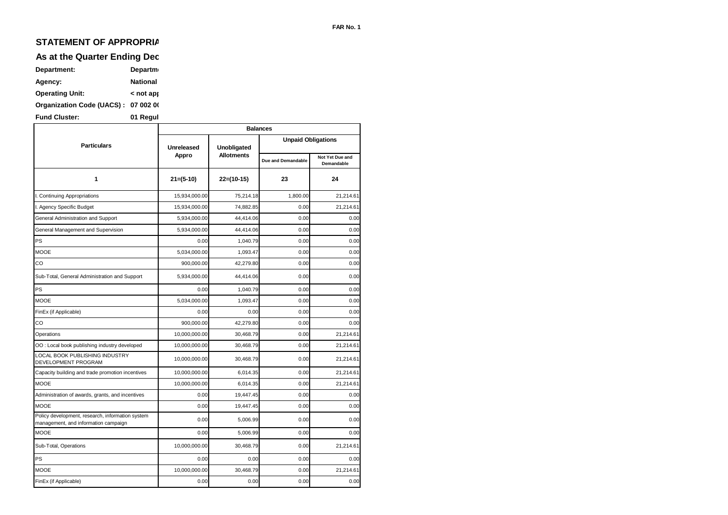## **STATEMENT OF APPROPRIA**

## **As at the Quarter Ending Dec**

| Department:                         | <b>Departm</b>             |
|-------------------------------------|----------------------------|
| Agency:                             | <b>National</b>            |
| <b>Operating Unit:</b>              | $<$ not approximate $\sim$ |
| Organization Code (UACS): 07 002 00 |                            |
|                                     |                            |

**Fund Cluster: 01 Regul** 

|                                                                                          | <b>Balances</b> |                   |                           |                               |  |  |  |  |
|------------------------------------------------------------------------------------------|-----------------|-------------------|---------------------------|-------------------------------|--|--|--|--|
| <b>Particulars</b>                                                                       | Unreleased      | Unobligated       | <b>Unpaid Obligations</b> |                               |  |  |  |  |
|                                                                                          | Appro           | <b>Allotments</b> | Due and Demandable        | Not Yet Due and<br>Demandable |  |  |  |  |
| 1                                                                                        | $21=(5-10)$     | $22=(10-15)$      | 23                        | 24                            |  |  |  |  |
| I. Continuing Appropriations                                                             | 15,934,000.00   | 75,214.18         | 1,800.00                  | 21,214.61                     |  |  |  |  |
| I. Agency Specific Budget                                                                | 15,934,000.00   | 74,882.85         | 0.00                      | 21,214.61                     |  |  |  |  |
| General Administration and Support                                                       | 5,934,000.00    | 44,414.06         | 0.00                      | 0.00                          |  |  |  |  |
| General Management and Supervision                                                       | 5,934,000.00    | 44,414.06         | 0.00                      | 0.00                          |  |  |  |  |
| PS                                                                                       | 0.00            | 1,040.79          | 0.00                      | 0.00                          |  |  |  |  |
| <b>MOOE</b>                                                                              | 5,034,000.00    | 1,093.47          | 0.00                      | 0.00                          |  |  |  |  |
| CO                                                                                       | 900,000.00      | 42,279.80         | 0.00                      | 0.00                          |  |  |  |  |
| Sub-Total, General Administration and Support                                            | 5,934,000.00    | 44,414.06         | 0.00                      | 0.00                          |  |  |  |  |
| PS                                                                                       | 0.00            | 1,040.79          | 0.00                      | 0.00                          |  |  |  |  |
| <b>MOOE</b>                                                                              | 5,034,000.00    | 1,093.47          | 0.00                      | 0.00                          |  |  |  |  |
| FinEx (if Applicable)                                                                    | 0.00            | 0.00              | 0.00                      | 0.00                          |  |  |  |  |
| CO                                                                                       | 900,000.00      | 42,279.80         | 0.00                      | 0.00                          |  |  |  |  |
| Operations                                                                               | 10,000,000.00   | 30.468.79         | 0.00                      | 21.214.61                     |  |  |  |  |
| OO: Local book publishing industry developed                                             | 10,000,000.00   | 30,468.79         | 0.00                      | 21,214.61                     |  |  |  |  |
| LOCAL BOOK PUBLISHING INDUSTRY<br>DEVELOPMENT PROGRAM                                    | 10,000,000.00   | 30,468.79         | 0.00                      | 21,214.61                     |  |  |  |  |
| Capacity building and trade promotion incentives                                         | 10,000,000.00   | 6,014.35          | 0.00                      | 21,214.61                     |  |  |  |  |
| <b>MOOE</b>                                                                              | 10,000,000.00   | 6,014.35          | 0.00                      | 21,214.61                     |  |  |  |  |
| Administration of awards, grants, and incentives                                         | 0.00            | 19,447.45         | 0.00                      | 0.00                          |  |  |  |  |
| <b>MOOE</b>                                                                              | 0.00            | 19,447.45         | 0.00                      | 0.00                          |  |  |  |  |
| Policy development, research, information system<br>management, and information campaign | 0.00            | 5,006.99          | 0.00                      | 0.00                          |  |  |  |  |
| <b>MOOE</b>                                                                              | 0.00            | 5,006.99          | 0.00                      | 0.00                          |  |  |  |  |
| Sub-Total, Operations                                                                    | 10,000,000.00   | 30,468.79         | 0.00                      | 21,214.61                     |  |  |  |  |
| PS                                                                                       | 0.00            | 0.00              | 0.00                      | 0.00                          |  |  |  |  |
| <b>MOOE</b>                                                                              | 10,000,000.00   | 30,468.79         | 0.00                      | 21,214.61                     |  |  |  |  |
| FinEx (if Applicable)                                                                    | 0.00            | 0.00              | 0.00                      | 0.00                          |  |  |  |  |